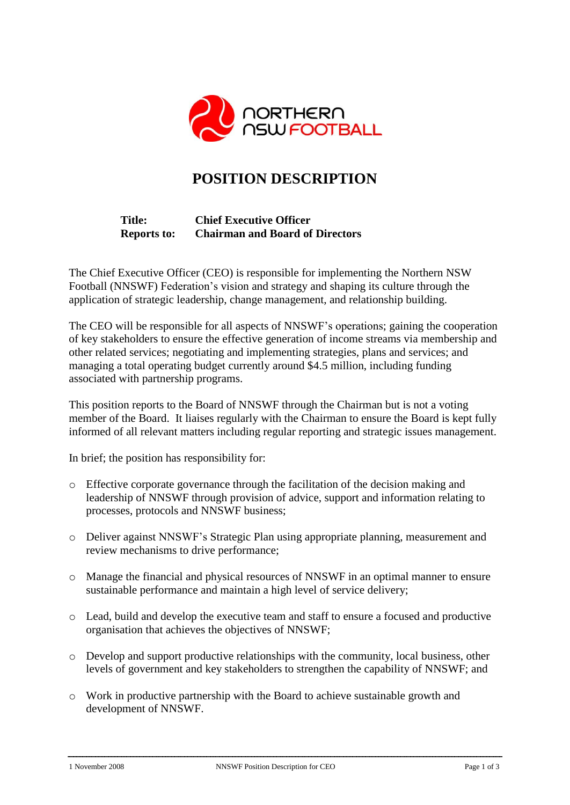

# **POSITION DESCRIPTION**

## **Title: Chief Executive Officer Reports to: Chairman and Board of Directors**

The Chief Executive Officer (CEO) is responsible for implementing the Northern NSW Football (NNSWF) Federation's vision and strategy and shaping its culture through the application of strategic leadership, change management, and relationship building.

The CEO will be responsible for all aspects of NNSWF's operations; gaining the cooperation of key stakeholders to ensure the effective generation of income streams via membership and other related services; negotiating and implementing strategies, plans and services; and managing a total operating budget currently around \$4.5 million, including funding associated with partnership programs.

This position reports to the Board of NNSWF through the Chairman but is not a voting member of the Board. It liaises regularly with the Chairman to ensure the Board is kept fully informed of all relevant matters including regular reporting and strategic issues management.

In brief; the position has responsibility for:

- o Effective corporate governance through the facilitation of the decision making and leadership of NNSWF through provision of advice, support and information relating to processes, protocols and NNSWF business;
- o Deliver against NNSWF's Strategic Plan using appropriate planning, measurement and review mechanisms to drive performance;
- o Manage the financial and physical resources of NNSWF in an optimal manner to ensure sustainable performance and maintain a high level of service delivery;
- o Lead, build and develop the executive team and staff to ensure a focused and productive organisation that achieves the objectives of NNSWF;
- o Develop and support productive relationships with the community, local business, other levels of government and key stakeholders to strengthen the capability of NNSWF; and
- o Work in productive partnership with the Board to achieve sustainable growth and development of NNSWF.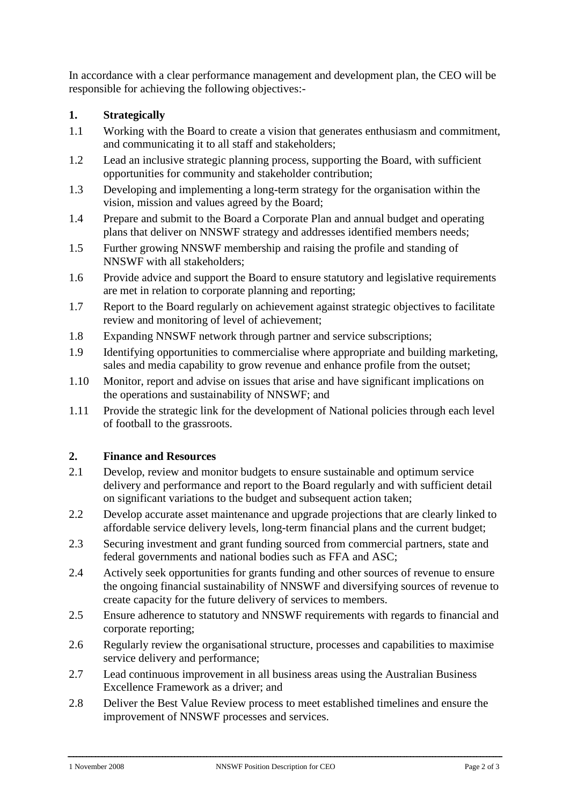In accordance with a clear performance management and development plan, the CEO will be responsible for achieving the following objectives:-

## **1. Strategically**

- 1.1 Working with the Board to create a vision that generates enthusiasm and commitment, and communicating it to all staff and stakeholders;
- 1.2 Lead an inclusive strategic planning process, supporting the Board, with sufficient opportunities for community and stakeholder contribution;
- 1.3 Developing and implementing a long-term strategy for the organisation within the vision, mission and values agreed by the Board;
- 1.4 Prepare and submit to the Board a Corporate Plan and annual budget and operating plans that deliver on NNSWF strategy and addresses identified members needs;
- 1.5 Further growing NNSWF membership and raising the profile and standing of NNSWF with all stakeholders;
- 1.6 Provide advice and support the Board to ensure statutory and legislative requirements are met in relation to corporate planning and reporting;
- 1.7 Report to the Board regularly on achievement against strategic objectives to facilitate review and monitoring of level of achievement;
- 1.8 Expanding NNSWF network through partner and service subscriptions;
- 1.9 Identifying opportunities to commercialise where appropriate and building marketing, sales and media capability to grow revenue and enhance profile from the outset;
- 1.10 Monitor, report and advise on issues that arise and have significant implications on the operations and sustainability of NNSWF; and
- 1.11 Provide the strategic link for the development of National policies through each level of football to the grassroots.

#### **2. Finance and Resources**

- 2.1 Develop, review and monitor budgets to ensure sustainable and optimum service delivery and performance and report to the Board regularly and with sufficient detail on significant variations to the budget and subsequent action taken;
- 2.2 Develop accurate asset maintenance and upgrade projections that are clearly linked to affordable service delivery levels, long-term financial plans and the current budget;
- 2.3 Securing investment and grant funding sourced from commercial partners, state and federal governments and national bodies such as FFA and ASC;
- 2.4 Actively seek opportunities for grants funding and other sources of revenue to ensure the ongoing financial sustainability of NNSWF and diversifying sources of revenue to create capacity for the future delivery of services to members.
- 2.5 Ensure adherence to statutory and NNSWF requirements with regards to financial and corporate reporting;
- 2.6 Regularly review the organisational structure, processes and capabilities to maximise service delivery and performance;
- 2.7 Lead continuous improvement in all business areas using the Australian Business Excellence Framework as a driver; and
- 2.8 Deliver the Best Value Review process to meet established timelines and ensure the improvement of NNSWF processes and services.